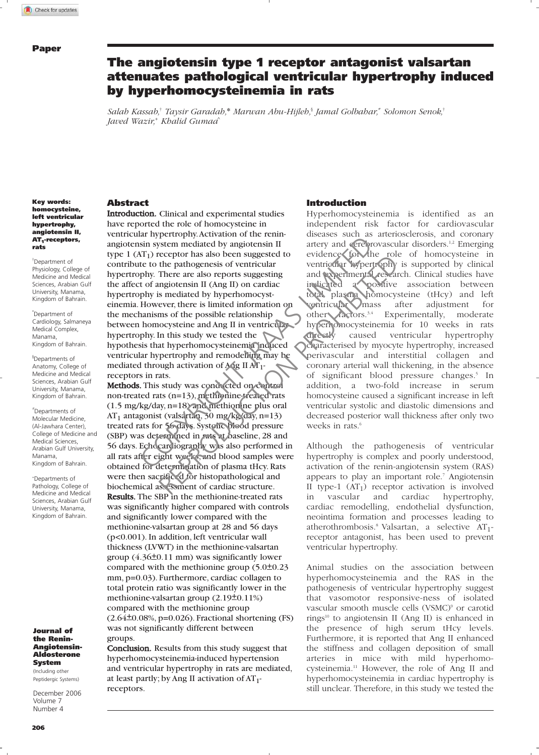# The angiotensin type 1 receptor antagonist valsartan attenuates pathological ventricular hypertrophy induced by hyperhomocysteinemia in rats

*Salah Kassab,*† *Taysir Garadah,*\* *Marwan Abu-Hijleh,*§ *Jamal Golbahar,*# *Solomon Senok,*† *Javed Wazir,*<sup>+</sup> *Khalid Gumaa*^

### Key words: homocysteine, left ventricular hypertrophy, angiotensin II, AT<sub>1</sub>-receptors, rats

†Department of Physiology, College of Medicine and Medical Sciences, Arabian Gulf University, Manama, Kingdom of Bahrain.

\*Department of Cardiology, Salmaneya Medical Complex, Manama, Kingdom of Bahrain.

§Departments of Anatomy, College of Medicine and Medical Sciences, Arabian Gulf University, Manama, Kingdom of Bahrain.

#Departments of Molecular Medicine, (Al-Jawhara Center), College of Medicine and Medical Sciences, Arabian Gulf University, Manama, Kingdom of Bahrain.

<sup>+</sup>Departments of Pathology, College of Medicine and Medical Sciences, Arabian Gulf University, Manama, Kingdom of Bahrain.

### Journal of the Renin-Angiotensin-Aldosterone System

(Including other Peptidergic Systems)

December 2006 Volume 7 Number 4

### Abstract

Introduction. Clinical and experimental studies have reported the role of homocysteine in ventricular hypertrophy.Activation of the reninangiotensin system mediated by angiotensin II type  $1$  (AT<sub>1</sub>) receptor has also been suggested to contribute to the pathogenesis of ventricular hypertrophy. There are also reports suggesting the affect of angiotensin II (Ang II) on cardiac hypertrophy is mediated by hyperhomocysteinemia. However, there is limited information on the mechanisms of the possible relationship between homocysteine and Ang II in ventricularhypertrophy. In this study we tested the hypothesis that hyperhomocysteinemia induced ventricular hypertrophy and remodelling may be mediated through activation of Ang II AT1 receptors in rats. Example the pair of the pair of the control of the pain and the pair of the pain of the pain of the pain of the pain of the pain of the pain of the pain of the pain of the pain of the pain of the pain of the pain of the pa Exercise of the particular tector is also because the parameters of eventual tector is also than the parameter, there are also reports suggesting and the permental responses a majorens in I (Ang II) on cardiac indicated a

Methods. This study was conducted on control non-treated rats (n=13), methionine-treated rats (1.5 mg/kg/day, n=18) and methionine plus oral AT<sub>1</sub> antagonist (valsartan, 30 mg/kg/day, n=13) treated rats for 56 days. Systolic blood pressure (SBP) was determined in rats at baseline, 28 and 56 days. Echocardiography was also performed in all rats after eight weeks, and blood samples were obtained for determination of plasma tHcy. Rats were then sacrificed for histopathological and biochemical assessment of cardiac structure. Results. The SBP in the methionine-treated rats was significantly higher compared with controls and significantly lower compared with the methionine-valsartan group at 28 and 56 days (p<0.001). In addition, left ventricular wall thickness (LVWT) in the methionine-valsartan group  $(4.36\pm0.11$  mm) was significantly lower compared with the methionine group  $(5.0\pm0.23)$ mm, p=0.03). Furthermore, cardiac collagen to total protein ratio was significantly lower in the methionine-valsartan group  $(2.19\pm0.11\%)$ compared with the methionine group  $(2.64\pm0.08\%, p=0.026)$ . Fractional shortening (FS) was not significantly different between groups.

Conclusion. Results from this study suggest that hyperhomocysteinemia-induced hypertension and ventricular hypertrophy in rats are mediated, at least partly; by Ang II activation of  $AT_1$ receptors.

### Introduction

Hyperhomocysteinemia is identified as an independent risk factor for cardiovascular diseases such as arteriosclerosis, and coronary artery and cerebrovascular disorders.<sup>1,2</sup> Emerging evidence for the role of homocysteine in ventricular hypertrophy is supported by clinical and experimental research. Clinical studies have indicated a positive association between total plasma homocysteine (tHcy) and left ventricular mass after adjustment for other factors.<sup>3,4</sup> Experimentally, moderate hyperhomocysteinemia for 10 weeks in rats directly caused ventricular hypertrophy characterised by myocyte hypertrophy, increased perivascular and interstitial collagen and coronary arterial wall thickening, in the absence of significant blood pressure changes.<sup>5</sup> In addition, a two-fold increase in serum homocysteine caused a significant increase in left ventricular systolic and diastolic dimensions and decreased posterior wall thickness after only two weeks in rats.<sup>6</sup>

Although the pathogenesis of ventricular hypertrophy is complex and poorly understood, activation of the renin-angiotensin system (RAS) appears to play an important role.<sup>7</sup> Angiotensin II type-1  $(AT_1)$  receptor activation is involved<br>in vascular and cardiac hypertrophy, in vascular and cardiac hypertrophy, cardiac remodelling, endothelial dysfunction, neointima formation and processes leading to atherothrombosis.<sup>8</sup> Valsartan, a selective  $AT_1$ receptor antagonist, has been used to prevent ventricular hypertrophy.

Animal studies on the association between hyperhomocysteinemia and the RAS in the pathogenesis of ventricular hypertrophy suggest that vasomotor responsive-ness of isolated vascular smooth muscle cells (VSMC)<sup>9</sup> or carotid rings<sup>10</sup> to angiotensin II (Ang II) is enhanced in the presence of high serum tHcy levels. Furthermore, it is reported that Ang II enhanced the stiffness and collagen deposition of small arteries in mice with mild hyperhomocysteinemia.<sup>11</sup> However, the role of Ang II and hyperhomocysteinemia in cardiac hypertrophy is still unclear. Therefore, in this study we tested the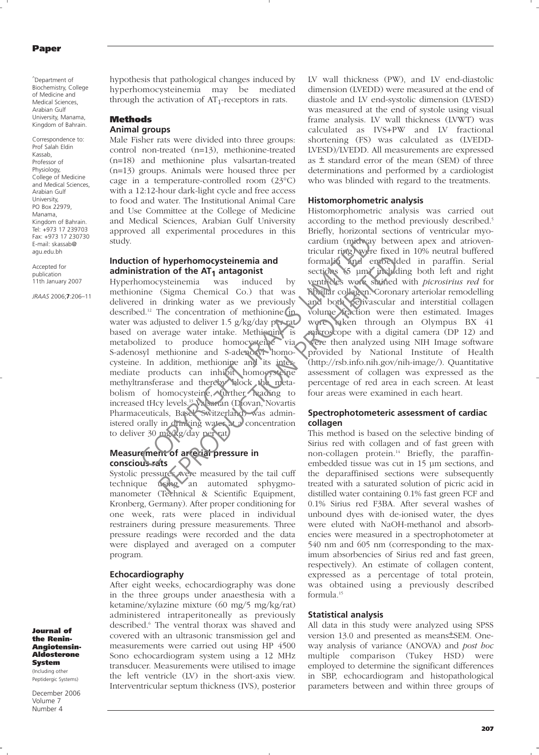### Paper

^Department of Biochemistry, College of Medicine and Medical Sciences, Arabian Gulf University, Manama, Kingdom of Bahrain.

Correspondence to: Prof Salah Eldin Kassab, Professor of Physiology, College of Medicine and Medical Sciences, Arabian Gulf University, PO Box 22979, Manama, Kingdom of Bahrain. Tel: +973 17 239703 Fax: +973 17 230730 E-mail: skassab@ agu.edu.bh

Accepted for publication 11th January 2007

*JRAAS* 2006;**7**:206–11

hypothesis that pathological changes induced by hyperhomocysteinemia may be mediated through the activation of  $AT_1$ -receptors in rats.

### Methods **Animal groups**

Male Fisher rats were divided into three groups: control non-treated (n=13), methionine-treated (n=18) and methionine plus valsartan-treated (n=13) groups. Animals were housed three per cage in a temperature-controlled room (23°C) with a 12:12-hour dark-light cycle and free access to food and water. The Institutional Animal Care and Use Committee at the College of Medicine and Medical Sciences, Arabian Gulf University approved all experimental procedures in this study.

# **Induction of hyperhomocysteinemia and administration of the AT<sub>1</sub> antagonist**<br>Hyperhomocysteinemia was induced

Hyperhomocysteinemia was induced by methionine (Sigma Chemical Co.) that was delivered in drinking water as we previously described.<sup>12</sup> The concentration of methionine (in water was adjusted to deliver 1.5 g/kg/day per ratbased on average water intake. Methioning is metabolized to produce homocysteine via S-adenosyl methionine and S-adenosyl homocysteine. In addition, methionine and its intermediate products can inhibit homocysteine methyltransferase and thereby block the metabolism of homocysteine, further reading to increased tHcy levels.<sup>13</sup> Valsartan (Diovan, Novartis Pharmaceuticals, Basel, Switzerland) was administered orally in drinking water at a concentration to deliver 30 mg/kg/day per rat. cardium (midway tricular ring) when<br>
terration of the AT<sub>1</sub> antagonist<br>
comocysteinemia and<br>
comocysteinemia was induced by venticles were share<br>
inne (Sigma Chemical Co.) that was **Ribular collagen.** C<br>
d in drinking wate **Example 1 Example 1 Example 1 Example 1 Example 1 Example 1 C (Sigma** chemical Co.) that was fighter collaged contrained the distribution of methionine in the previously and both  $\chi$  and  $\chi$  and  $\chi$  and

# **Measurement of arterial pressure in conscious rats**

Systolic pressures were measured by the tail cuff technique using an automated sphygmomanometer (Technical & Scientific Equipment, Kronberg, Germany). After proper conditioning for one week, rats were placed in individual restrainers during pressure measurements. Three pressure readings were recorded and the data were displayed and averaged on a computer program.

## **Echocardiography**

After eight weeks, echocardiography was done in the three groups under anaesthesia with a ketamine/xylazine mixture (60 mg/5 mg/kg/rat) administered intraperitoneally as previously described.<sup>6</sup> The ventral thorax was shaved and covered with an ultrasonic transmission gel and measurements were carried out using HP 4500 Sono echocardiogram system using a 12 MHz transducer. Measurements were utilised to image the left ventricle (LV) in the short-axis view. Interventricular septum thickness (IVS), posterior

LV wall thickness (PW), and LV end-diastolic dimension (LVEDD) were measured at the end of diastole and LV end-systolic dimension (LVESD) was measured at the end of systole using visual frame analysis. LV wall thickness (LVWT) was calculated as IVS+PW and LV fractional shortening (FS) was calculated as (LVEDD-LVESD)/LVEDD. All measurements are expressed as  $\pm$  standard error of the mean (SEM) of three determinations and performed by a cardiologist who was blinded with regard to the treatments.

### **Histomorphometric analysis**

Histomorphometric analysis was carried out according to the method previously described.<sup>5</sup> Briefly, horizontal sections of ventricular myocardium (midway between apex and atrioventricular ring) were fixed in 10% neutral buffered formalin and embedded in paraffin. Serial sections (5 µm) including both left and right ventricles were stained with *picrosirius red* for fibrillar collagen. Coronary arteriolar remodelling and both perivascular and interstitial collagen volume fraction were then estimated. Images were taken through an Olympus BX 41 microscope with a digital camera (DP 12) and were then analyzed using NIH Image software provided by National Institute of Health (http://rsb.info.nih.gov/nih-image/). Quantitative assessment of collagen was expressed as the percentage of red area in each screen. At least four areas were examined in each heart.

# **Spectrophotometeric assessment of cardiac collagen**

This method is based on the selective binding of Sirius red with collagen and of fast green with non-collagen protein.<sup>14</sup> Briefly, the paraffinembedded tissue was cut in 15 μm sections, and the deparaffinised sections were subsequently treated with a saturated solution of picric acid in distilled water containing 0.1% fast green FCF and 0.1% Sirius red F3BA. After several washes of unbound dyes with de-ionised water, the dyes were eluted with NaOH-methanol and absorbencies were measured in a spectrophotometer at 540 nm and 605 nm (corresponding to the maximum absorbencies of Sirius red and fast green, respectively). An estimate of collagen content, expressed as a percentage of total protein, was obtained using a previously described formula.<sup>15</sup>

### **Statistical analysis**

All data in this study were analyzed using SPSS version 13.0 and presented as means ±SEM. Oneway analysis of variance (ANOVA) and post hoc multiple comparison (Tukey HSD) were employed to determine the significant differences in SBP, echocardiogram and histopathological parameters between and within three groups of

Journal of the Renin-Angiotensin-Aldosterone System (Including other

Peptidergic Systems)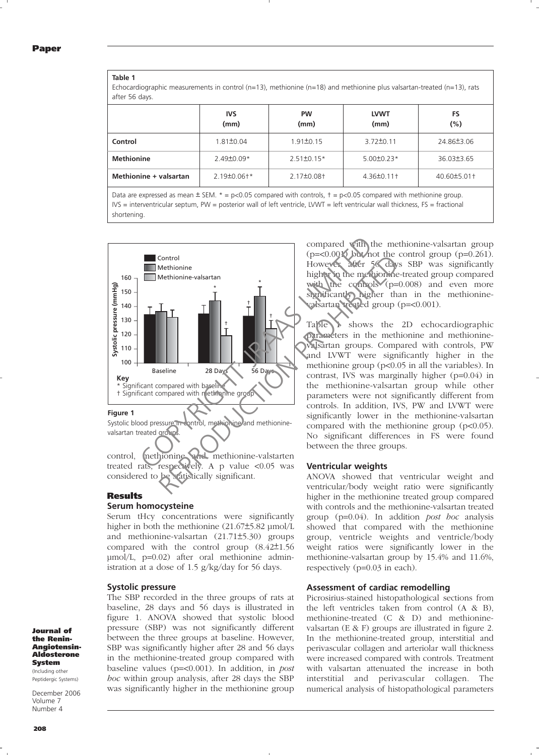### **Table 1**

Echocardiographic measurements in control (n=13), methionine (n=18) and methionine plus valsartan-treated (n=13), rats after 56 days.

|                        | <b>IVS</b><br>(mm) | <b>PW</b><br>(mm) | <b>LVWT</b><br>(mm) | FS<br>$(\% )$  |
|------------------------|--------------------|-------------------|---------------------|----------------|
| Control                | 1.81±0.04          | $1.91 \pm 0.15$   | $3.72 \pm 0.11$     | 24.86±3.06     |
| <b>Methionine</b>      | $2.49\pm0.09*$     | $2.51\pm0.15*$    | $5.00 \pm 0.23*$    | 36.03±3.65     |
| Methionine + valsartan | $2.19 \pm 0.06$ †* | $2.17 \pm 0.08$ + | 4.36±0.11+          | 40.60 ± 5.01 + |

Data are expressed as mean  $\pm$  SEM.  $* = p \lt 0.05$  compared with controls,  $t = p \lt 0.05$  compared with methionine group. IVS = interventricular septum, PW = posterior wall of left ventricle, LVWT = left ventricular wall thickness, FS = fractional shortening.



valsartan treated groups

control, methionine and methionine-valstarten treated rats, respectively. A p value <0.05 was considered to be statistically significant. s atistically significant.

### **Results**

# **Serum homocysteine**

Serum tHcy concentrations were significantly higher in both the methionine  $(21.67\pm5.82 \text{ µmol/L})$ and methionine-valsartan (21.71±5.30) groups compared with the control group  $(8.42 \pm 1.56)$ μmol/L, p=0.02) after oral methionine administration at a dose of 1.5 g/kg/day for 56 days.

### **Systolic pressure**

The SBP recorded in the three groups of rats at baseline, 28 days and 56 days is illustrated in figure 1. ANOVA showed that systolic blood pressure (SBP) was not significantly different between the three groups at baseline. However, SBP was significantly higher after 28 and 56 days in the methionine-treated group compared with baseline values (p=<0.001). In addition, in post hoc within group analysis, after 28 days the SBP was significantly higher in the methionine group compared with the methionine-valsartan group  $(p=<0.001)$  but not the control group  $(p=0.261)$ . However, after 56 days SBP was significantly higher in the methionine-treated group compared with the controls (p=0.008) and even more significantly higher than in the methioninevalsartan treated group (p=<0.001).

Table 1 shows the 2D echocardiographic parameters in the methionine and methioninevalsartan groups. Compared with controls, PW and LVWT were significantly higher in the methionine group (p<0.05 in all the variables). In contrast, IVS was marginally higher (p=0.04) in the methionine-valsartan group while other parameters were not significantly different from controls. In addition, IVS, PW and LVWT were significantly lower in the methionine-valsartan compared with the methionine group (p<0.05). No significant differences in FS were found between the three groups.

### **Ventricular weights**

ANOVA showed that ventricular weight and ventricular/body weight ratio were significantly higher in the methionine treated group compared with controls and the methionine-valsartan treated group  $(p=0.04)$ . In addition *post hoc* analysis showed that compared with the methionine group, ventricle weights and ventricle/body weight ratios were significantly lower in the methionine-valsartan group by 15.4% and 11.6%, respectively (p=0.03 in each).

### **Assessment of cardiac remodelling**

Picrosirius-stained histopathological sections from the left ventricles taken from control (A & B), methionine-treated (C & D) and methioninevalsartan (E & F) groups are illustrated in figure 2. In the methionine-treated group, interstitial and perivascular collagen and arteriolar wall thickness were increased compared with controls. Treatment with valsartan attenuated the increase in both interstitial and perivascular collagen. The numerical analysis of histopathological parameters

Journal of the Renin-Angiotensin-Aldosterone System (Including other

Peptidergic Systems)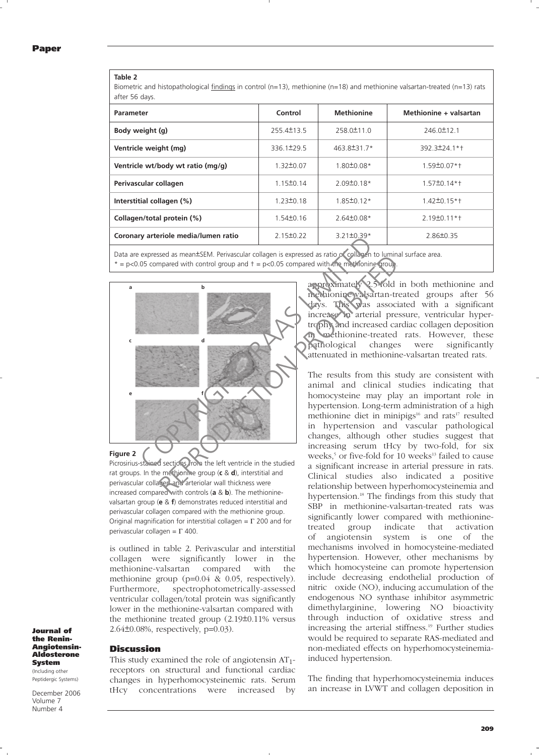### **Table 2**

Biometric and histopathological findings in control (n=13), methionine (n=18) and methionine valsartan-treated (n=13) rats after 56 days.

| <b>Parameter</b>                     | Control         | <b>Methionine</b> | Methionine + valsartan   |
|--------------------------------------|-----------------|-------------------|--------------------------|
| Body weight (g)                      | 255.4±13.5      | 258.0±11.0        | 246.0±12.1               |
| Ventricle weight (mg)                | 336.1±29.5      | 463.8±31.7*       | 392.3±24.1*†             |
| Ventricle wt/body wt ratio (mg/g)    | $1.32 \pm 0.07$ | $1.80 \pm 0.08*$  | 1.59±0.07*†              |
| Perivascular collagen                | $1.15 \pm 0.14$ | $2.09\pm0.18*$    | $1.57\pm0.14*$           |
| Interstitial collagen (%)            | $1.23 \pm 0.18$ | $1.85 \pm 0.12*$  | $1.42 \pm 0.15 \times +$ |
| Collagen/total protein (%)           | $1.54 \pm 0.16$ | $2.64\pm0.08*$    | $2.19\pm0.11*$           |
| Coronary arteriole media/lumen ratio | $2.15 \pm 0.22$ | $3.21 \pm 0.39*$  | $2.86 \pm 0.35$          |

Data are expressed as mean±SEM. Perivascular collagen is expressed as ratio of collagen to luminal surface area.

 $* = p<0.05$  compared with control group and  $t = p<0.05$  compared with the methionine group.





is outlined in table 2. Perivascular and interstitial collagen were significantly lower in the methionine-valsartan compared with the methionine group (p=0.04 & 0.05, respectively). Furthermore, spectrophotometrically-assessed ventricular collagen/total protein was significantly lower in the methionine-valsartan compared with the methionine treated group  $(2.19\pm 0.11\%$  versus  $2.64\pm0.08\%$ , respectively, p=0.03).

### the Renin-Angiotensin-Aldosterone System

(Including other Peptidergic Systems)

Journal of

December 2006 Volume 7 Number 4

**Discussion** 

This study examined the role of angiotensin  $AT_{1}$ receptors on structural and functional cardiac changes in hyperhomocysteinemic rats. Serum tHcy concentrations were increased by

approximately 2.5-fold in both methionine and methionine-valsartan-treated groups after 56 days. This was associated with a significant increase in arterial pressure, ventricular hypertrophy and increased cardiac collagen deposition in methionine-treated rats. However, these pathological changes were significantly attenuated in methionine-valsartan treated rats.

The results from this study are consistent with animal and clinical studies indicating that homocysteine may play an important role in hypertension. Long-term administration of a high methionine diet in minipigs<sup>16</sup> and rats<sup>17</sup> resulted in hypertension and vascular pathological changes, although other studies suggest that increasing serum tHcy by two-fold, for six weeks,<sup>5</sup> or five-fold for 10 weeks<sup>13</sup> failed to cause a significant increase in arterial pressure in rats. Clinical studies also indicated a positive relationship between hyperhomocysteinemia and hypertension.<sup>18</sup> The findings from this study that SBP in methionine-valsartan-treated rats was significantly lower compared with methioninetreated group indicate that activation of angiotensin system is one of the mechanisms involved in homocysteine-mediated hypertension. However, other mechanisms by which homocysteine can promote hypertension include decreasing endothelial production of nitric oxide (NO), inducing accumulation of the endogenous NO synthase inhibitor asymmetric dimethylarginine, lowering NO bioactivity through induction of oxidative stress and increasing the arterial stiffness.<sup>19</sup> Further studies would be required to separate RAS-mediated and non-mediated effects on hyperhomocysteinemiainduced hypertension.

The finding that hyperhomocysteinemia induces an increase in LVWT and collagen deposition in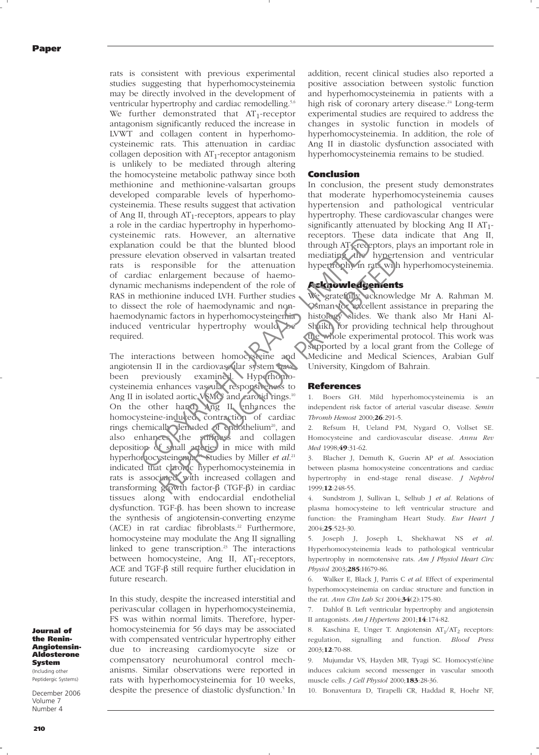rats is consistent with previous experimental studies suggesting that hyperhomocysteinemia may be directly involved in the development of ventricular hypertrophy and cardiac remodelling.<sup>5,6</sup> We further demonstrated that  $AT_1$ -receptor antagonism significantly reduced the increase in LVWT and collagen content in hyperhomocysteinemic rats. This attenuation in cardiac collagen deposition with  $AT_1$ -receptor antagonism is unlikely to be mediated through altering the homocysteine metabolic pathway since both methionine and methionine-valsartan groups developed comparable levels of hyperhomocysteinemia. These results suggest that activation of Ang II, through  $AT_1$ -receptors, appears to play a role in the cardiac hypertrophy in hyperhomocysteinemic rats. However, an alternative explanation could be that the blunted blood pressure elevation observed in valsartan treated rats is responsible for the attenuation of cardiac enlargement because of haemodynamic mechanisms independent of the role of RAS in methionine induced LVH. Further studies to dissect the role of haemodynamic and nonhaemodynamic factors in hyperhomocysteinemia induced ventricular hypertrophy would be required.

The interactions between homocysteine and angiotensin II in the cardiovascular system have been previously examined. Hyperhomocysteinemia enhances vascular responsiveness to Ang II in isolated aortic VSMC<sup>9</sup> and carotid rings.<sup>10</sup> On the other hand, Ang II enhances the homocysteine-induced contraction of cardiac rings chemically denuded of endothelium<sup>20</sup>, and also enhances the stiffness and collagen deposition of small arteries in mice with mild hyperhomocysteinemia. Studies by Miller et al.<sup>21</sup> indicated that chronic hyperhomocysteinemia in rats is associated with increased collagen and transforming growth factor-β (TGF-β) in cardiac tissues along with endocardial endothelial dysfunction. TGF-β. has been shown to increase the synthesis of angiotensin-converting enzyme  $(ACE)$  in rat cardiac fibroblasts.<sup>22</sup> Furthermore, homocysteine may modulate the Ang II signalling linked to gene transcription.<sup>23</sup> The interactions between homocysteine, Ang II,  $AT_1$ -receptors, ACE and TGF-β still require further elucidation in future research. Examera and the state of the state of the state of the state of the state of the attenuation of the attenuation of the attenuation of the mechanism independent of the role of the mechanism independent of the role of the me The mediation of the activity of cardiac mediation in the activation in the activation in the effection contains independent of the role of haemo-<br>
enlargement because of haemo-<br>
enlargement of the role of the solution of

In this study, despite the increased interstitial and perivascular collagen in hyperhomocysteinemia, FS was within normal limits. Therefore, hyperhomocysteinemia for 56 days may be associated with compensated ventricular hypertrophy either due to increasing cardiomyocyte size or compensatory neurohumoral control mechanisms. Similar observations were reported in rats with hyperhomocysteinemia for 10 weeks, despite the presence of diastolic dysfunction.<sup>5</sup> In

addition, recent clinical studies also reported a positive association between systolic function and hyperhomocysteinemia in patients with a high risk of coronary artery disease.<sup>24</sup> Long-term experimental studies are required to address the changes in systolic function in models of hyperhomocysteinemia. In addition, the role of Ang II in diastolic dysfunction associated with hyperhomocysteinemia remains to be studied.

# Conclusion

In conclusion, the present study demonstrates that moderate hyperhomocysteinemia causes hypertension and pathological ventricular hypertrophy. These cardiovascular changes were significantly attenuated by blocking Ang II  $AT_1$ receptors. These data indicate that Ang II, through AT<sub>1</sub>-receptors, plays an important role in mediating the hypertension and ventricular hypertrophy in rats with hyperhomocysteinemia.

# Acknowledgements

We gratefully acknowledge Mr A. Rahman M. Osman for excellent assistance in preparing the histology slides. We thank also Mr Hani Al-Shaikh for providing technical help throughout the whole experimental protocol. This work was supported by a local grant from the College of Medicine and Medical Sciences, Arabian Gulf University, Kingdom of Bahrain.

### References

1. Boers GH. Mild hyperhomocysteinemia is an independent risk factor of arterial vascular disease. Semin Thromb Hemost 2000;26:291-5.

2. Refsum H, Ueland PM, Nygard O, Vollset SE. Homocysteine and cardiovascular disease. Annu Rev Med 1998;49:31-62.

3. Blacher J, Demuth K, Guerin AP et al. Association between plasma homocysteine concentrations and cardiac hypertrophy in end-stage renal disease. J Nephrol 1999;12:248-55.

4. Sundstrom J, Sullivan L, Selhub J et al. Relations of plasma homocysteine to left ventricular structure and function: the Framingham Heart Study. Eur Heart J 2004;25:523-30.

5. Joseph J, Joseph L, Shekhawat NS et al. Hyperhomocysteinemia leads to pathological ventricular hypertrophy in normotensive rats. Am J Physiol Heart Circ Physiol 2003;285:H679-86.

6. Walker E, Black J, Parris C et al. Effect of experimental hyperhomocysteinemia on cardiac structure and function in the rat. Ann Clin Lab Sci 2004;34(2):175-80.

7. Dahlof B. Left ventricular hypertrophy and angiotensin II antagonists. Am J Hypertens 2001;14:174-82.

8. Kaschina E, Unger T. Angiotensin  $AT_1/AT_2$  receptors: regulation, signalling and function. Blood Press 2003;12:70-88.

9. Mujumdar VS, Hayden MR, Tyagi SC. Homocyst(e)ine induces calcium second messenger in vascular smooth muscle cells. J Cell Physiol 2000;183:28-36.

10. Bonaventura D, Tirapelli CR, Haddad R, Hoehr NF,

Journal of the Renin-Angiotensin-Aldosterone System

(Including other Peptidergic Systems)